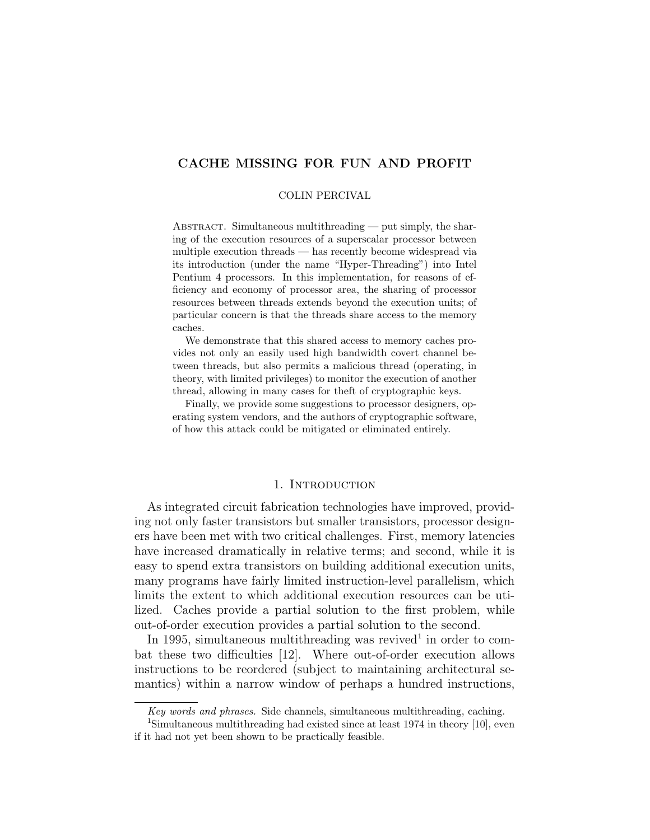# CACHE MISSING FOR FUN AND PROFIT

### COLIN PERCIVAL

ABSTRACT. Simultaneous multithreading — put simply, the sharing of the execution resources of a superscalar processor between multiple execution threads — has recently become widespread via its introduction (under the name "Hyper-Threading") into Intel Pentium 4 processors. In this implementation, for reasons of efficiency and economy of processor area, the sharing of processor resources between threads extends beyond the execution units; of particular concern is that the threads share access to the memory caches.

We demonstrate that this shared access to memory caches provides not only an easily used high bandwidth covert channel between threads, but also permits a malicious thread (operating, in theory, with limited privileges) to monitor the execution of another thread, allowing in many cases for theft of cryptographic keys.

Finally, we provide some suggestions to processor designers, operating system vendors, and the authors of cryptographic software, of how this attack could be mitigated or eliminated entirely.

## 1. INTRODUCTION

As integrated circuit fabrication technologies have improved, providing not only faster transistors but smaller transistors, processor designers have been met with two critical challenges. First, memory latencies have increased dramatically in relative terms; and second, while it is easy to spend extra transistors on building additional execution units, many programs have fairly limited instruction-level parallelism, which limits the extent to which additional execution resources can be utilized. Caches provide a partial solution to the first problem, while out-of-order execution provides a partial solution to the second.

In 1995, simultaneous multithreading was revived<sup>1</sup> in order to combat these two difficulties [12]. Where out-of-order execution allows instructions to be reordered (subject to maintaining architectural semantics) within a narrow window of perhaps a hundred instructions,

Key words and phrases. Side channels, simultaneous multithreading, caching.

<sup>1</sup>Simultaneous multithreading had existed since at least 1974 in theory [10], even if it had not yet been shown to be practically feasible.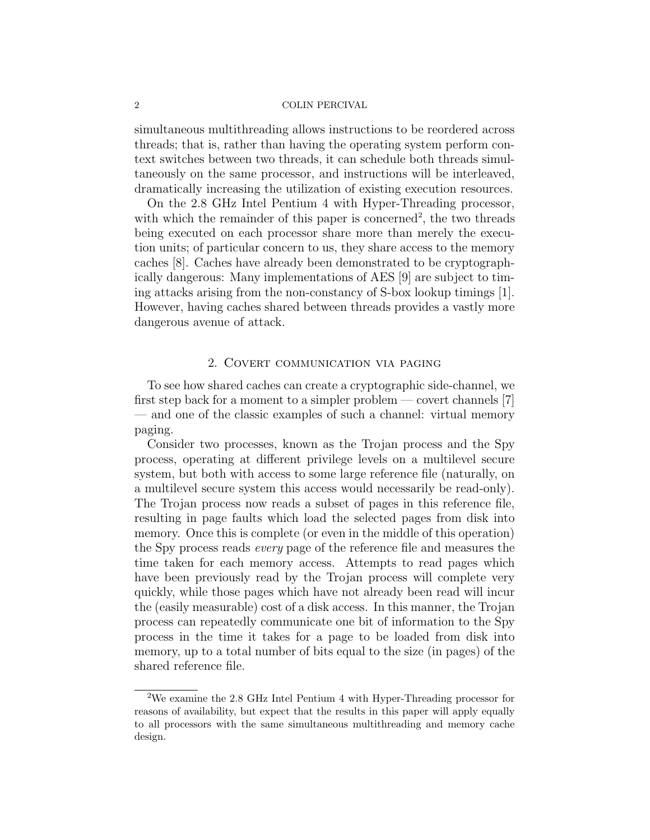simultaneous multithreading allows instructions to be reordered across threads; that is, rather than having the operating system perform context switches between two threads, it can schedule both threads simultaneously on the same processor, and instructions will be interleaved, dramatically increasing the utilization of existing execution resources.

On the 2.8 GHz Intel Pentium 4 with Hyper-Threading processor, with which the remainder of this paper is concerned<sup>2</sup>, the two threads being executed on each processor share more than merely the execution units; of particular concern to us, they share access to the memory caches [8]. Caches have already been demonstrated to be cryptographically dangerous: Many implementations of AES [9] are subject to timing attacks arising from the non-constancy of S-box lookup timings [1]. However, having caches shared between threads provides a vastly more dangerous avenue of attack.

## 2. Covert communication via paging

To see how shared caches can create a cryptographic side-channel, we first step back for a moment to a simpler problem — covert channels  $[7]$ — and one of the classic examples of such a channel: virtual memory paging.

Consider two processes, known as the Trojan process and the Spy process, operating at different privilege levels on a multilevel secure system, but both with access to some large reference file (naturally, on a multilevel secure system this access would necessarily be read-only). The Trojan process now reads a subset of pages in this reference file, resulting in page faults which load the selected pages from disk into memory. Once this is complete (or even in the middle of this operation) the Spy process reads every page of the reference file and measures the time taken for each memory access. Attempts to read pages which have been previously read by the Trojan process will complete very quickly, while those pages which have not already been read will incur the (easily measurable) cost of a disk access. In this manner, the Trojan process can repeatedly communicate one bit of information to the Spy process in the time it takes for a page to be loaded from disk into memory, up to a total number of bits equal to the size (in pages) of the shared reference file.

<sup>2</sup>We examine the 2.8 GHz Intel Pentium 4 with Hyper-Threading processor for reasons of availability, but expect that the results in this paper will apply equally to all processors with the same simultaneous multithreading and memory cache design.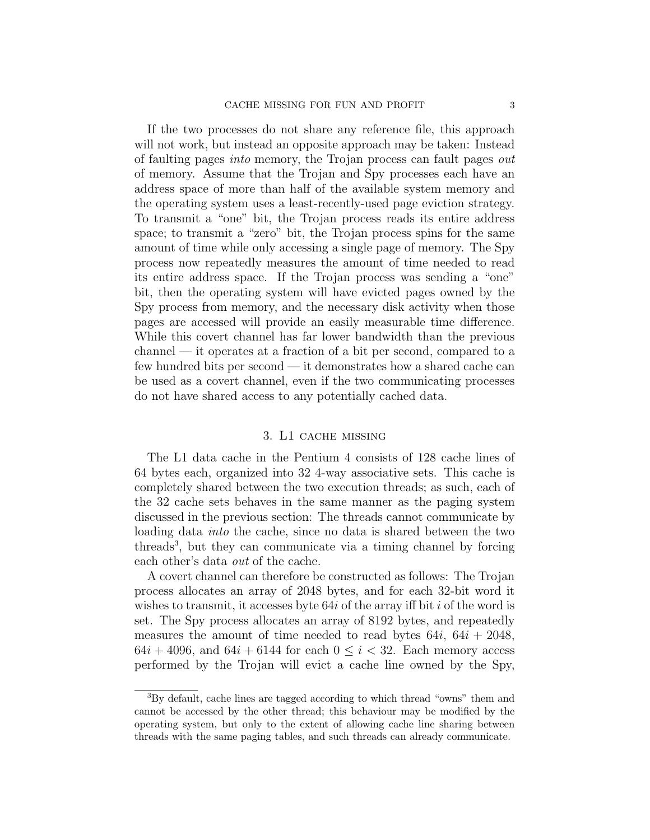If the two processes do not share any reference file, this approach will not work, but instead an opposite approach may be taken: Instead of faulting pages into memory, the Trojan process can fault pages out of memory. Assume that the Trojan and Spy processes each have an address space of more than half of the available system memory and the operating system uses a least-recently-used page eviction strategy. To transmit a "one" bit, the Trojan process reads its entire address space; to transmit a "zero" bit, the Trojan process spins for the same amount of time while only accessing a single page of memory. The Spy process now repeatedly measures the amount of time needed to read its entire address space. If the Trojan process was sending a "one" bit, then the operating system will have evicted pages owned by the Spy process from memory, and the necessary disk activity when those pages are accessed will provide an easily measurable time difference. While this covert channel has far lower bandwidth than the previous channel — it operates at a fraction of a bit per second, compared to a few hundred bits per second — it demonstrates how a shared cache can be used as a covert channel, even if the two communicating processes do not have shared access to any potentially cached data.

## 3. L1 cache missing

The L1 data cache in the Pentium 4 consists of 128 cache lines of 64 bytes each, organized into 32 4-way associative sets. This cache is completely shared between the two execution threads; as such, each of the 32 cache sets behaves in the same manner as the paging system discussed in the previous section: The threads cannot communicate by loading data into the cache, since no data is shared between the two threads<sup>3</sup> , but they can communicate via a timing channel by forcing each other's data out of the cache.

A covert channel can therefore be constructed as follows: The Trojan process allocates an array of 2048 bytes, and for each 32-bit word it wishes to transmit, it accesses byte  $64i$  of the array iff bit i of the word is set. The Spy process allocates an array of 8192 bytes, and repeatedly measures the amount of time needed to read bytes  $64i$ ,  $64i + 2048$ ,  $64i + 4096$ , and  $64i + 6144$  for each  $0 \leq i \leq 32$ . Each memory access performed by the Trojan will evict a cache line owned by the Spy,

<sup>&</sup>lt;sup>3</sup>By default, cache lines are tagged according to which thread "owns" them and cannot be accessed by the other thread; this behaviour may be modified by the operating system, but only to the extent of allowing cache line sharing between threads with the same paging tables, and such threads can already communicate.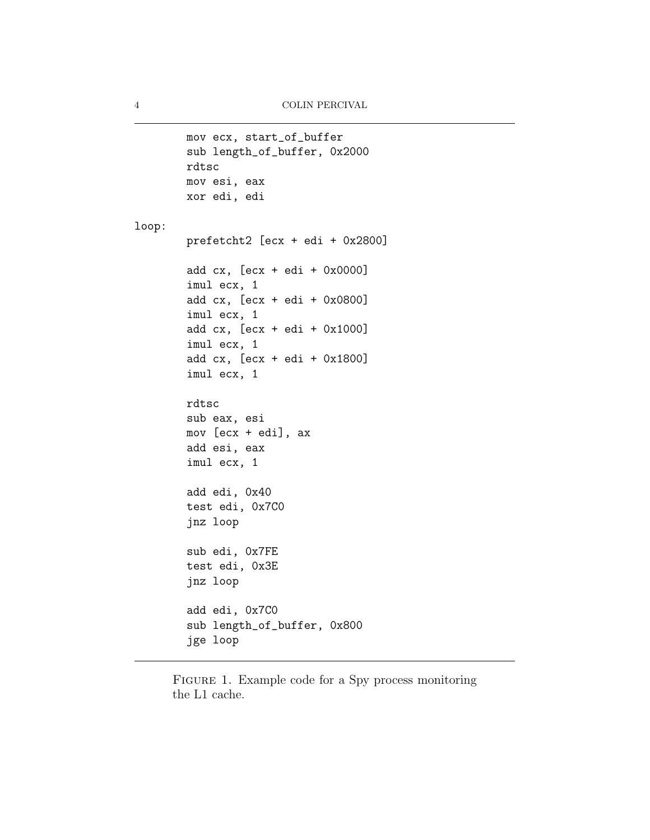```
mov ecx, start_of_buffer
        sub length_of_buffer, 0x2000
        rdtsc
        mov esi, eax
        xor edi, edi
loop:
        prefetcht2 [ecx + edi + 0x2800]
        add cx, [ecx + edi + 0x0000]
        imul ecx, 1
        add cx, [ecx + edi + 0x0800]
        imul ecx, 1
        add cx, [ecx + edi + 0x1000]
        imul ecx, 1
        add cx, [ecx + edi + 0x1800]
        imul ecx, 1
        rdtsc
        sub eax, esi
        mov [ecx + edi], ax
        add esi, eax
        imul ecx, 1
        add edi, 0x40
        test edi, 0x7C0
        jnz loop
        sub edi, 0x7FE
        test edi, 0x3E
        jnz loop
        add edi, 0x7C0
        sub length_of_buffer, 0x800
        jge loop
```
FIGURE 1. Example code for a Spy process monitoring the L1 cache.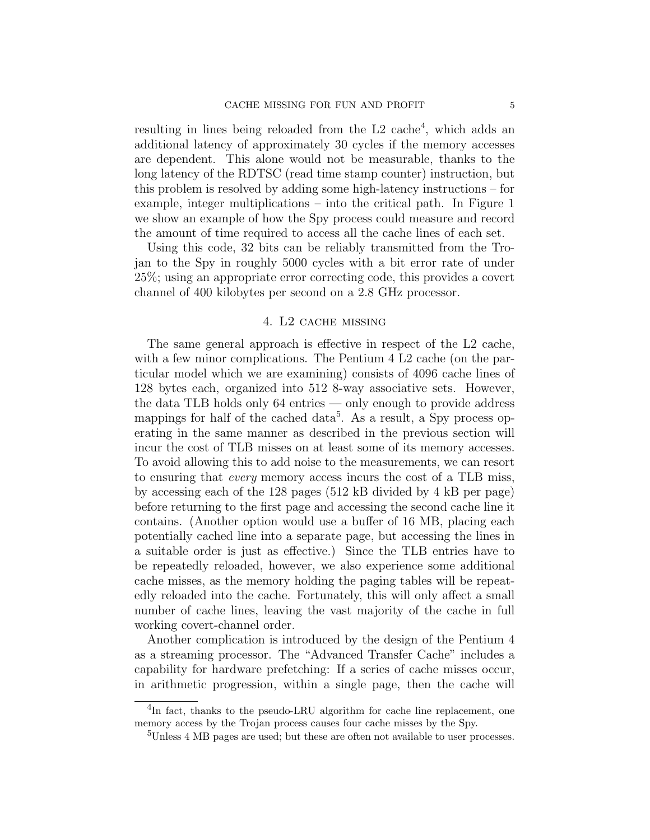resulting in lines being reloaded from the L2 cache<sup>4</sup>, which adds an additional latency of approximately 30 cycles if the memory accesses are dependent. This alone would not be measurable, thanks to the long latency of the RDTSC (read time stamp counter) instruction, but this problem is resolved by adding some high-latency instructions – for example, integer multiplications – into the critical path. In Figure 1 we show an example of how the Spy process could measure and record the amount of time required to access all the cache lines of each set.

Using this code, 32 bits can be reliably transmitted from the Trojan to the Spy in roughly 5000 cycles with a bit error rate of under 25%; using an appropriate error correcting code, this provides a covert channel of 400 kilobytes per second on a 2.8 GHz processor.

## 4. L2 cache missing

The same general approach is effective in respect of the L2 cache, with a few minor complications. The Pentium 4 L2 cache (on the particular model which we are examining) consists of 4096 cache lines of 128 bytes each, organized into 512 8-way associative sets. However, the data TLB holds only 64 entries — only enough to provide address mappings for half of the cached data<sup>5</sup>. As a result, a Spy process operating in the same manner as described in the previous section will incur the cost of TLB misses on at least some of its memory accesses. To avoid allowing this to add noise to the measurements, we can resort to ensuring that every memory access incurs the cost of a TLB miss, by accessing each of the 128 pages (512 kB divided by 4 kB per page) before returning to the first page and accessing the second cache line it contains. (Another option would use a buffer of 16 MB, placing each potentially cached line into a separate page, but accessing the lines in a suitable order is just as effective.) Since the TLB entries have to be repeatedly reloaded, however, we also experience some additional cache misses, as the memory holding the paging tables will be repeatedly reloaded into the cache. Fortunately, this will only affect a small number of cache lines, leaving the vast majority of the cache in full working covert-channel order.

Another complication is introduced by the design of the Pentium 4 as a streaming processor. The "Advanced Transfer Cache" includes a capability for hardware prefetching: If a series of cache misses occur, in arithmetic progression, within a single page, then the cache will

<sup>&</sup>lt;sup>4</sup>In fact, thanks to the pseudo-LRU algorithm for cache line replacement, one memory access by the Trojan process causes four cache misses by the Spy.

<sup>5</sup>Unless 4 MB pages are used; but these are often not available to user processes.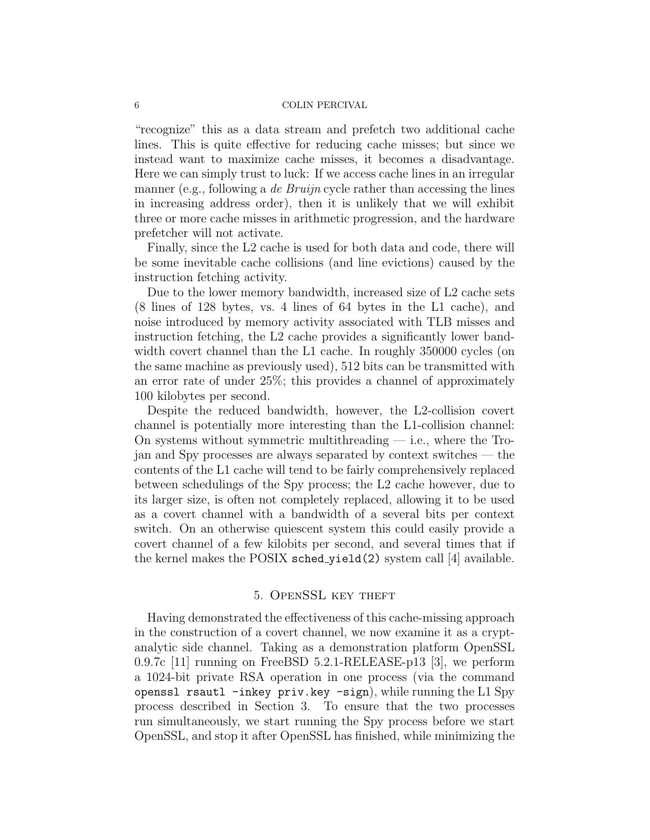"recognize" this as a data stream and prefetch two additional cache lines. This is quite effective for reducing cache misses; but since we instead want to maximize cache misses, it becomes a disadvantage. Here we can simply trust to luck: If we access cache lines in an irregular manner (e.g., following a *de Bruijn* cycle rather than accessing the lines in increasing address order), then it is unlikely that we will exhibit three or more cache misses in arithmetic progression, and the hardware prefetcher will not activate.

Finally, since the L2 cache is used for both data and code, there will be some inevitable cache collisions (and line evictions) caused by the instruction fetching activity.

Due to the lower memory bandwidth, increased size of L2 cache sets (8 lines of 128 bytes, vs. 4 lines of 64 bytes in the L1 cache), and noise introduced by memory activity associated with TLB misses and instruction fetching, the L2 cache provides a significantly lower bandwidth covert channel than the L1 cache. In roughly 350000 cycles (on the same machine as previously used), 512 bits can be transmitted with an error rate of under 25%; this provides a channel of approximately 100 kilobytes per second.

Despite the reduced bandwidth, however, the L2-collision covert channel is potentially more interesting than the L1-collision channel: On systems without symmetric multithreading  $-$  i.e., where the Trojan and Spy processes are always separated by context switches — the contents of the L1 cache will tend to be fairly comprehensively replaced between schedulings of the Spy process; the L2 cache however, due to its larger size, is often not completely replaced, allowing it to be used as a covert channel with a bandwidth of a several bits per context switch. On an otherwise quiescent system this could easily provide a covert channel of a few kilobits per second, and several times that if the kernel makes the POSIX sched\_yield(2) system call [4] available.

## 5. OpenSSL key theft

Having demonstrated the effectiveness of this cache-missing approach in the construction of a covert channel, we now examine it as a cryptanalytic side channel. Taking as a demonstration platform OpenSSL 0.9.7c [11] running on FreeBSD 5.2.1-RELEASE-p13 [3], we perform a 1024-bit private RSA operation in one process (via the command openssl rsautl -inkey priv.key -sign), while running the L1 Spy process described in Section 3. To ensure that the two processes run simultaneously, we start running the Spy process before we start OpenSSL, and stop it after OpenSSL has finished, while minimizing the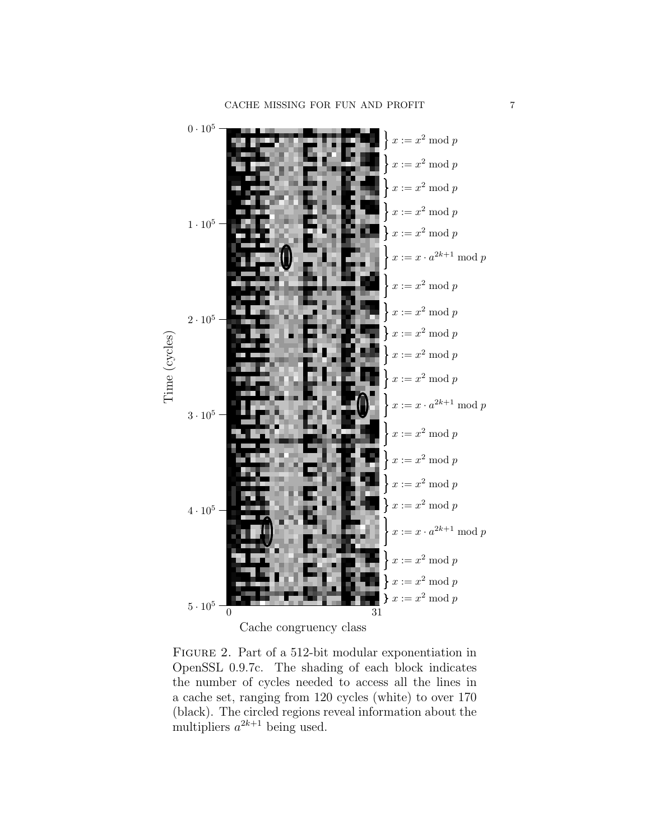

Figure 2. Part of a 512-bit modular exponentiation in OpenSSL 0.9.7c. The shading of each block indicates the number of cycles needed to access all the lines in a cache set, ranging from 120 cycles (white) to over 170 (black). The circled regions reveal information about the multipliers  $a^{2k+1}$  being used.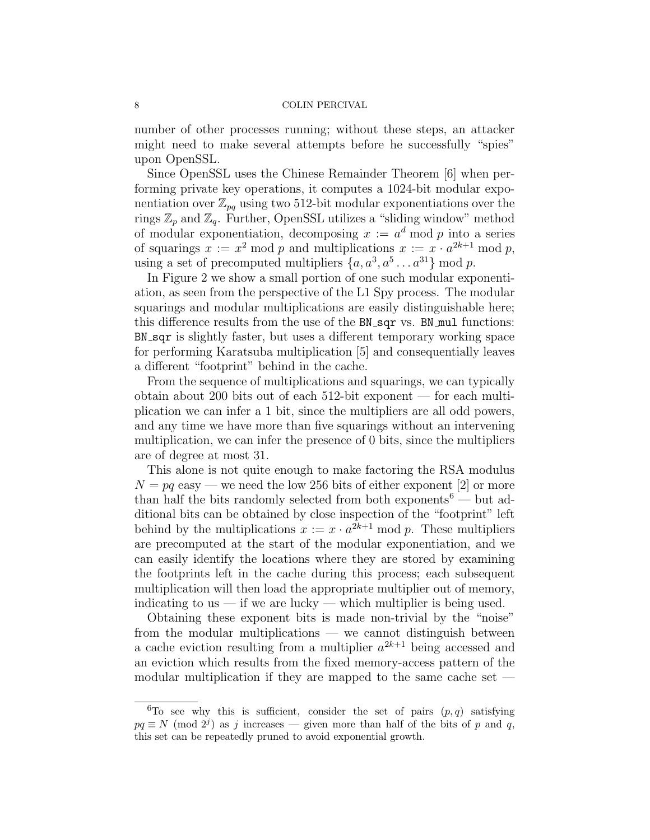number of other processes running; without these steps, an attacker might need to make several attempts before he successfully "spies" upon OpenSSL.

Since OpenSSL uses the Chinese Remainder Theorem [6] when performing private key operations, it computes a 1024-bit modular exponentiation over  $\mathbb{Z}_{pq}$  using two 512-bit modular exponentiations over the rings  $\mathbb{Z}_p$  and  $\mathbb{Z}_q$ . Further, OpenSSL utilizes a "sliding window" method of modular exponentiation, decomposing  $x := a^d \mod p$  into a series of squarings  $x := x^2 \mod p$  and multiplications  $x := x \cdot a^{2k+1} \mod p$ , using a set of precomputed multipliers  $\{a, a^3, a^5 \dots a^{31}\}$  mod p.

In Figure 2 we show a small portion of one such modular exponentiation, as seen from the perspective of the L1 Spy process. The modular squarings and modular multiplications are easily distinguishable here; this difference results from the use of the BN\_sqr vs. BN\_mul functions: BN sqr is slightly faster, but uses a different temporary working space for performing Karatsuba multiplication [5] and consequentially leaves a different "footprint" behind in the cache.

From the sequence of multiplications and squarings, we can typically obtain about 200 bits out of each 512-bit exponent — for each multiplication we can infer a 1 bit, since the multipliers are all odd powers, and any time we have more than five squarings without an intervening multiplication, we can infer the presence of 0 bits, since the multipliers are of degree at most 31.

This alone is not quite enough to make factoring the RSA modulus  $N = pq$  easy — we need the low 256 bits of either exponent [2] or more than half the bits randomly selected from both exponents<sup>6</sup> — but additional bits can be obtained by close inspection of the "footprint" left behind by the multiplications  $x := x \cdot a^{2k+1} \mod p$ . These multipliers are precomputed at the start of the modular exponentiation, and we can easily identify the locations where they are stored by examining the footprints left in the cache during this process; each subsequent multiplication will then load the appropriate multiplier out of memory, indicating to us — if we are lucky — which multiplier is being used.

Obtaining these exponent bits is made non-trivial by the "noise" from the modular multiplications — we cannot distinguish between a cache eviction resulting from a multiplier  $a^{2k+1}$  being accessed and an eviction which results from the fixed memory-access pattern of the modular multiplication if they are mapped to the same cache set —

<sup>&</sup>lt;sup>6</sup>To see why this is sufficient, consider the set of pairs  $(p, q)$  satisfying  $pq \equiv N \pmod{2^j}$  as j increases — given more than half of the bits of p and q, this set can be repeatedly pruned to avoid exponential growth.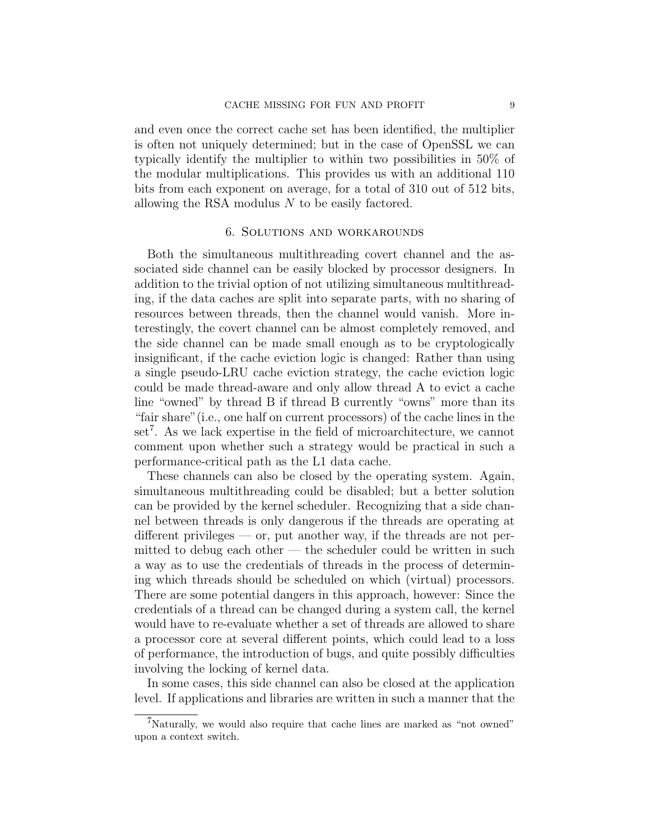and even once the correct cache set has been identified, the multiplier is often not uniquely determined; but in the case of OpenSSL we can typically identify the multiplier to within two possibilities in 50% of the modular multiplications. This provides us with an additional 110 bits from each exponent on average, for a total of 310 out of 512 bits, allowing the RSA modulus N to be easily factored.

### 6. Solutions and workarounds

Both the simultaneous multithreading covert channel and the associated side channel can be easily blocked by processor designers. In addition to the trivial option of not utilizing simultaneous multithreading, if the data caches are split into separate parts, with no sharing of resources between threads, then the channel would vanish. More interestingly, the covert channel can be almost completely removed, and the side channel can be made small enough as to be cryptologically insignificant, if the cache eviction logic is changed: Rather than using a single pseudo-LRU cache eviction strategy, the cache eviction logic could be made thread-aware and only allow thread A to evict a cache line "owned" by thread B if thread B currently "owns" more than its "fair share"(i.e., one half on current processors) of the cache lines in the set<sup>7</sup>. As we lack expertise in the field of microarchitecture, we cannot comment upon whether such a strategy would be practical in such a performance-critical path as the L1 data cache.

These channels can also be closed by the operating system. Again, simultaneous multithreading could be disabled; but a better solution can be provided by the kernel scheduler. Recognizing that a side channel between threads is only dangerous if the threads are operating at different privileges  $-$  or, put another way, if the threads are not permitted to debug each other — the scheduler could be written in such a way as to use the credentials of threads in the process of determining which threads should be scheduled on which (virtual) processors. There are some potential dangers in this approach, however: Since the credentials of a thread can be changed during a system call, the kernel would have to re-evaluate whether a set of threads are allowed to share a processor core at several different points, which could lead to a loss of performance, the introduction of bugs, and quite possibly difficulties involving the locking of kernel data.

In some cases, this side channel can also be closed at the application level. If applications and libraries are written in such a manner that the

<sup>&</sup>lt;sup>7</sup>Naturally, we would also require that cache lines are marked as "not owned" upon a context switch.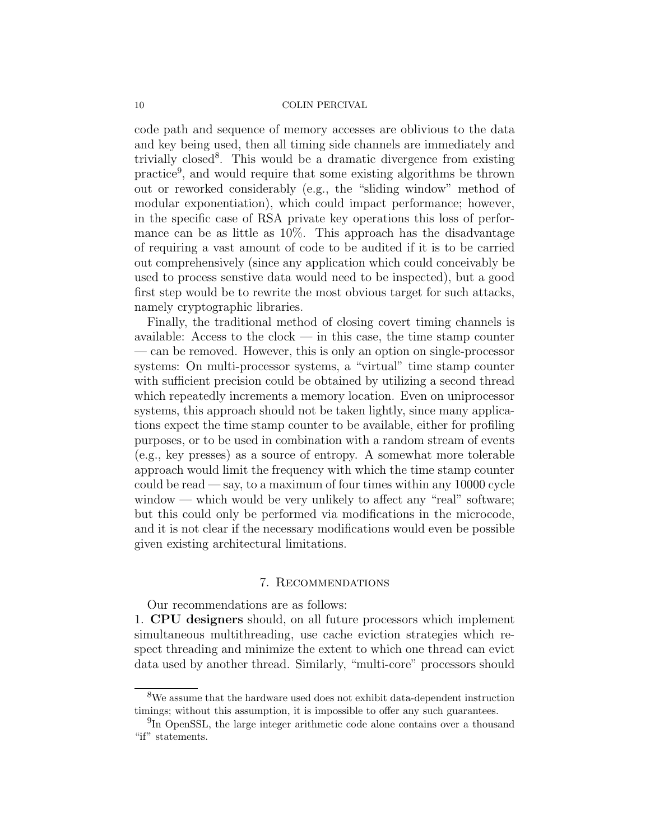code path and sequence of memory accesses are oblivious to the data and key being used, then all timing side channels are immediately and trivially closed<sup>8</sup>. This would be a dramatic divergence from existing practice<sup>9</sup>, and would require that some existing algorithms be thrown out or reworked considerably (e.g., the "sliding window" method of modular exponentiation), which could impact performance; however, in the specific case of RSA private key operations this loss of performance can be as little as 10%. This approach has the disadvantage of requiring a vast amount of code to be audited if it is to be carried out comprehensively (since any application which could conceivably be used to process senstive data would need to be inspected), but a good first step would be to rewrite the most obvious target for such attacks, namely cryptographic libraries.

Finally, the traditional method of closing covert timing channels is available: Access to the clock  $-$  in this case, the time stamp counter — can be removed. However, this is only an option on single-processor systems: On multi-processor systems, a "virtual" time stamp counter with sufficient precision could be obtained by utilizing a second thread which repeatedly increments a memory location. Even on uniprocessor systems, this approach should not be taken lightly, since many applications expect the time stamp counter to be available, either for profiling purposes, or to be used in combination with a random stream of events (e.g., key presses) as a source of entropy. A somewhat more tolerable approach would limit the frequency with which the time stamp counter could be read  $-\text{say}$ , to a maximum of four times within any 10000 cycle window — which would be very unlikely to affect any "real" software; but this could only be performed via modifications in the microcode, and it is not clear if the necessary modifications would even be possible given existing architectural limitations.

## 7. Recommendations

Our recommendations are as follows:

1. CPU designers should, on all future processors which implement simultaneous multithreading, use cache eviction strategies which respect threading and minimize the extent to which one thread can evict data used by another thread. Similarly, "multi-core" processors should

<sup>&</sup>lt;sup>8</sup>We assume that the hardware used does not exhibit data-dependent instruction timings; without this assumption, it is impossible to offer any such guarantees.

<sup>&</sup>lt;sup>9</sup>In OpenSSL, the large integer arithmetic code alone contains over a thousand "if" statements.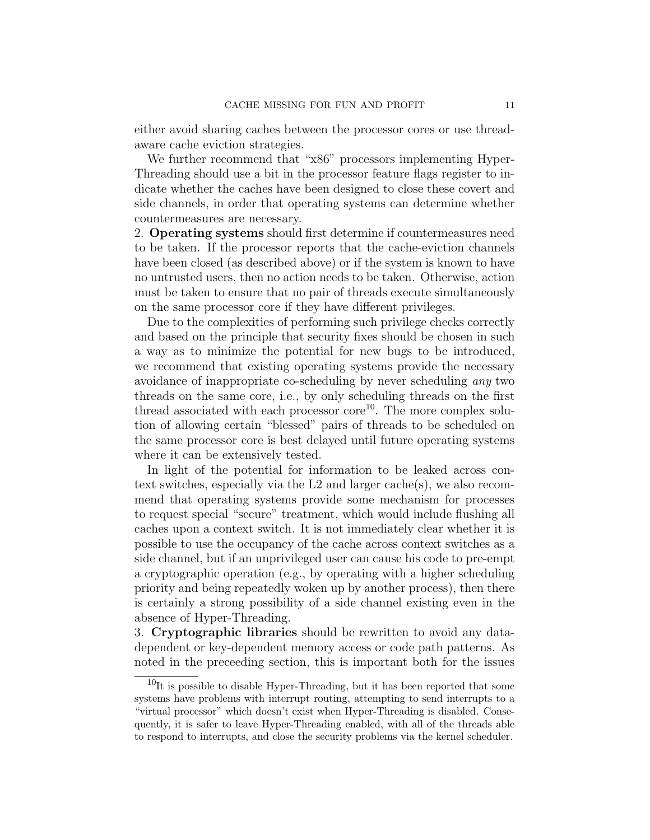either avoid sharing caches between the processor cores or use threadaware cache eviction strategies.

We further recommend that "x86" processors implementing Hyper-Threading should use a bit in the processor feature flags register to indicate whether the caches have been designed to close these covert and side channels, in order that operating systems can determine whether countermeasures are necessary.

2. Operating systems should first determine if countermeasures need to be taken. If the processor reports that the cache-eviction channels have been closed (as described above) or if the system is known to have no untrusted users, then no action needs to be taken. Otherwise, action must be taken to ensure that no pair of threads execute simultaneously on the same processor core if they have different privileges.

Due to the complexities of performing such privilege checks correctly and based on the principle that security fixes should be chosen in such a way as to minimize the potential for new bugs to be introduced, we recommend that existing operating systems provide the necessary avoidance of inappropriate co-scheduling by never scheduling any two threads on the same core, i.e., by only scheduling threads on the first thread associated with each processor core<sup>10</sup>. The more complex solution of allowing certain "blessed" pairs of threads to be scheduled on the same processor core is best delayed until future operating systems where it can be extensively tested.

In light of the potential for information to be leaked across context switches, especially via the L2 and larger cache(s), we also recommend that operating systems provide some mechanism for processes to request special "secure" treatment, which would include flushing all caches upon a context switch. It is not immediately clear whether it is possible to use the occupancy of the cache across context switches as a side channel, but if an unprivileged user can cause his code to pre-empt a cryptographic operation (e.g., by operating with a higher scheduling priority and being repeatedly woken up by another process), then there is certainly a strong possibility of a side channel existing even in the absence of Hyper-Threading.

3. Cryptographic libraries should be rewritten to avoid any datadependent or key-dependent memory access or code path patterns. As noted in the preceeding section, this is important both for the issues

 $10$ It is possible to disable Hyper-Threading, but it has been reported that some systems have problems with interrupt routing, attempting to send interrupts to a "virtual processor" which doesn't exist when Hyper-Threading is disabled. Consequently, it is safer to leave Hyper-Threading enabled, with all of the threads able to respond to interrupts, and close the security problems via the kernel scheduler.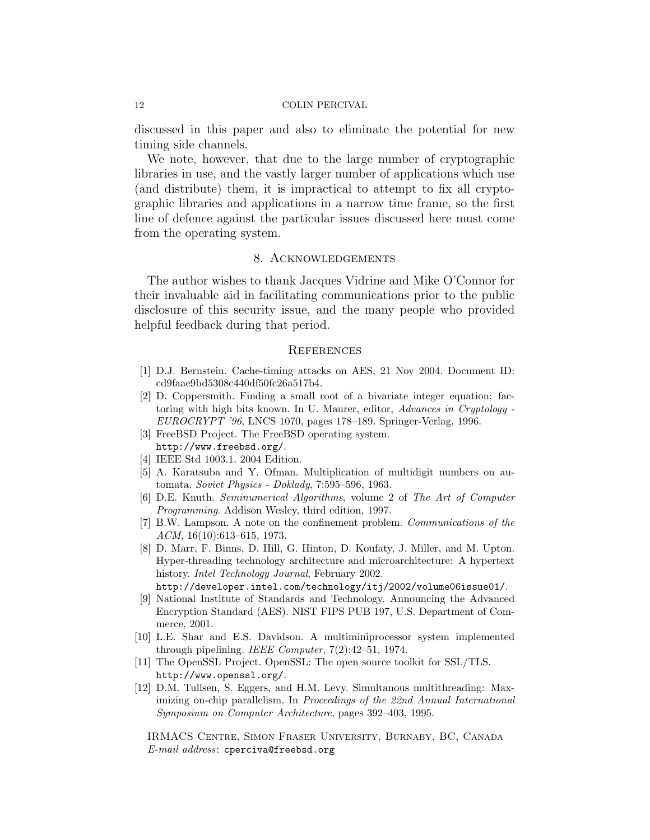discussed in this paper and also to eliminate the potential for new timing side channels.

We note, however, that due to the large number of cryptographic libraries in use, and the vastly larger number of applications which use (and distribute) them, it is impractical to attempt to fix all cryptographic libraries and applications in a narrow time frame, so the first line of defence against the particular issues discussed here must come from the operating system.

## 8. Acknowledgements

The author wishes to thank Jacques Vidrine and Mike O'Connor for their invaluable aid in facilitating communications prior to the public disclosure of this security issue, and the many people who provided helpful feedback during that period.

### **REFERENCES**

- [1] D.J. Bernstein. Cache-timing attacks on AES, 21 Nov 2004. Document ID: cd9faae9bd5308c440df50fc26a517b4.
- [2] D. Coppersmith. Finding a small root of a bivariate integer equation; factoring with high bits known. In U. Maurer, editor, Advances in Cryptology - EUROCRYPT '96, LNCS 1070, pages 178–189. Springer-Verlag, 1996.
- [3] FreeBSD Project. The FreeBSD operating system. http://www.freebsd.org/.
- [4] IEEE Std 1003.1. 2004 Edition.
- [5] A. Karatsuba and Y. Ofman. Multiplication of multidigit numbers on automata. Soviet Physics - Doklady, 7:595–596, 1963.
- [6] D.E. Knuth. Seminumerical Algorithms, volume 2 of The Art of Computer Programming. Addison Wesley, third edition, 1997.
- [7] B.W. Lampson. A note on the confinement problem. Communications of the ACM, 16(10):613–615, 1973.
- [8] D. Marr, F. Binns, D. Hill, G. Hinton, D. Koufaty, J. Miller, and M. Upton. Hyper-threading technology architecture and microarchitecture: A hypertext history. *Intel Technology Journal*, February 2002.

http://developer.intel.com/technology/itj/2002/volume06issue01/.

- [9] National Institute of Standards and Technology. Announcing the Advanced Encryption Standard (AES). NIST FIPS PUB 197, U.S. Department of Commerce, 2001.
- [10] L.E. Shar and E.S. Davidson. A multiminiprocessor system implemented through pipelining. IEEE Computer,  $7(2):42-51$ , 1974.
- [11] The OpenSSL Project. OpenSSL: The open source toolkit for SSL/TLS. http://www.openssl.org/.
- [12] D.M. Tullsen, S. Eggers, and H.M. Levy. Simultanous multithreading: Maximizing on-chip parallelism. In Proceedings of the 22nd Annual International Symposium on Computer Architecture, pages 392–403, 1995.

IRMACS Centre, Simon Fraser University, Burnaby, BC, Canada  $E$ -mail address: cperciva@freebsd.org